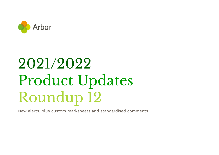

# 2021/2022 Product Updates Roundup 12

New alerts, plus custom marksheets and standardised comments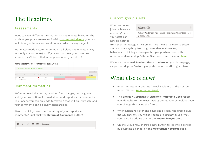# The Headlines

#### Assessments

Want to show different information on marksheets based on the student group or assessment? With custom [marksheets,](https://support.arbor-education.com/hc/en-us/articles/4411352667153-How-to-set-up-custom-marksheets-for-different-assessments) you can include any columns you want, in any order, for any subject.

We've also made column ordering on all class marksheets sticky (not only custom ones), so if you sort or move your columns around, they'll be in that same place when you return!

#### Marksheet for Course: Maths: Year 11: 11/Ma2

|  | ± Download ▼<br>Showing 25 results |  |                                            |                    |                  |                  |                         |  |
|--|------------------------------------|--|--------------------------------------------|--------------------|------------------|------------------|-------------------------|--|
|  | Student                            |  | SEN at any time this a Course Name (Bottom | Autumn vs Baseline | Spring vs Autumn | Summer vs Spring | Spring Term<br>P8 Maths |  |
|  | <b>Allery Lazar</b>                |  | 11/Ma2                                     |                    |                  |                  |                         |  |
|  | <b>Badsey Brandon</b>              |  | 11/Ma2                                     |                    |                  |                  |                         |  |

### Comment formatting

We've removed the resize, recolour font changer, text alignment and hyperlink options for marksheet and report cards comments. This means you can only add formatting that will pull through, and your comments can be easily standardised.

Want to quickly reset the formatting of your report card comments? Just click the **Reformat Comments** button!

#### $I$   $\cup$   $\equiv$   $\equiv$  Snippets... B

### Custom group alerts

When someone joins or leaves a custom group, your staff can now be notified

Alerts (2)

Ashley Anderson has joined Persistent Absentees ... x # Today, 10:17

from their homepage or via email. This means it's easy to trigger alerts about anything from high attendance absences, to behaviour, to joining a demographic group, when used with Automatic Membership Criteria. See how to set these up [here!](https://support.arbor-education.com/hc/en-us/articles/115003589633-Create-and-use-Custom-Groups#creating-a-custom-group-0-1)

We've also renamed **Student Alerts** to **Alerts** on your homepage, as you could get a Custom group alert about staff or guardians.

# What else is new?

- Report on Student and Staff Meal Registers in the Custom Report Writer: [Reporting](https://support.arbor-education.com/hc/en-us/articles/203792082-Reporting-on-Meals#using-the-custom-report-writer-0-1) on Meals
- The *School > Timetable > Student > Timetable Gaps* report now defaults to the lowest year group at your school, but you can change this using the filters.
- When assigning cover and selecting a room, the drop-down list will now tell you which rooms are already in use. We'll soon also be adding this to the *Room Changes* area.
- On the Group MIS, there's a new button to log into a school by selecting a school on the *Institutions > Browse* page.